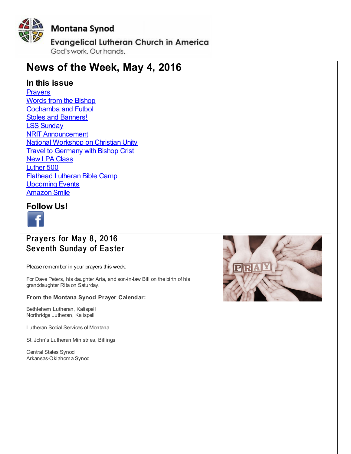<span id="page-0-0"></span>

# **News of the Week, May 4, 2016**

## **In this issue**

**[Prayers](#page-0-0)** Words from the [Bishop](#page-0-0) [Cochamba](#page-0-0) and Futbol Stoles and [Banners!](#page-0-0) LSS [Sunday](#page-0-0) NRIT [Announcement](#page-0-0) National [Workshop](#page-0-0) on Christian Unity **Travel to [Germany](#page-0-0) with Bishop Crist** New LPA [Class](#page-0-0) [Luther](#page-0-0) 500 Flathead [Lutheran](#page-0-0) Bible Camp [Upcoming](#page-0-0) Events [Amazon](#page-0-0) Smile

### **Follow Us!**



## Prayers for May 8, 2016 Seventh Sunday of Easter

Please remember in your prayers this week:

For Dave Peters, his daughter Aria, and son-in-law Bill on the birth of his granddaughter Rita on Saturday.

### **From the Montana Synod Prayer Calendar:**

Bethlehem Lutheran, Kalispell Northridge Lutheran, Kalispell

Lutheran Social Services of Montana

St. John's Lutheran Ministries, Billings

Central States Synod Arkansas-Oklahoma Synod

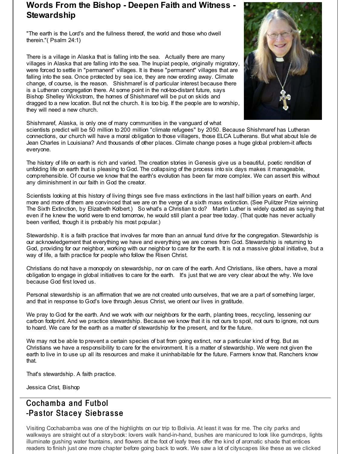## **Words From the Bishop - Deepen Faith and Witness - Stewardship**

"The earth is the Lord's and the fullness thereof, the world and those who dwell therein."( Psalm 24:1)

There is a village in Alaska that is falling into the sea. Actually there are many villages in Alaska that are falling into the sea. The Inupiat people, originally migratory, were forced to settle in "permanent" villages. It is these "permanent" villages that are falling into the sea. Once protected by sea ice, they are now eroding away. Climate change, of course, is the reason. Shishmaref is of particular interest because there is a Lutheran congregation there. At some point in the not-too-distant future, says Bishop Shelley Wickstrom, the homes of Shishmaref will be put on skids and dragged to a new location. But not the church. It is too big. If the people are to worship, they will need a new church.



Shishmaref, Alaska, is only one of many communities in the vanguard of what

scientists predict will be 50 million to 200 million "climate refugees" by 2050. Because Shishmaref has Lutheran connections, our church will have a moral obligation to those villagers, those ELCA Lutherans. But what about Isle de Jean Charles in Louisiana? And thousands of other places. Climate change poses a huge global problem-it affects everyone.

The history of life on earth is rich and varied. The creation stories in Genesis give us a beautiful, poetic rendition of unfolding life on earth that is pleasing to God. The collapsing of the process into six days makes it manageable, comprehensible. Of course we know that the earth's evolution has been far more complex. We can assert this without any diminishment in our faith in God the creator.

Scientists looking at this history of living things see five mass extinctions in the last half billion years on earth. And more and more of them are convinced that we are on the verge of a sixth mass extinction. (See Pulitzer Prize winning The Sixth Extinction, by Elizabeth Kolbert.) So what's a Christian to do? Martin Luther is widely quoted as saying that even if he knew the world were to end tomorrow, he would still plant a pear tree today. (That quote has never actually been verified, though it is probably his most popular.)

Stewardship. It is a faith practice that involves far more than an annual fund drive for the congregation. Stewardship is our acknowledgement that everything we have and everything we are comes from God. Stewardship is returning to God, providing for our neighbor, working with our neighbor to care for the earth. It is not a massive global initiative, but a way of life, a faith practice for people who follow the Risen Christ.

Christians do not have a monopoly on stewardship, nor on care of the earth. And Christians, like others, have a moral obligation to engage in global initiatives to care for the earth. It's just that we are very clear about the why. We love because God first loved us.

Personal stewardship is an affirmation that we are not created unto ourselves, that we are a part of something larger, and that in response to God's love through Jesus Christ, we orient our lives in gratitude.

We pray to God for the earth. And we work with our neighbors for the earth, planting trees, recycling, lessening our carbon footprint. And we practice stewardship. Because we know that it is not ours to spoil, not ours to ignore, not ours to hoard. We care for the earth as a matter of stewardship for the present, and for the future.

We may not be able to prevent a certain species of bat from going extinct, nor a particular kind of frog. But as Christians we have a responsibility to care for the environment. It is a matter of stewardship. We were not given the earth to live in to use up all its resources and make it uninhabitable for the future. Farmers know that. Ranchers know that.

That's stewardship. A faith practice.

Jessica Crist, Bishop

# Cochamba and Futbol -Pastor Stacey Siebrasse

Visiting Cochabamba was one of the highlights on our trip to Bolivia. At least it was for me. The city parks and walkways are straight out of a storybook: lovers walk hand-in-hand, bushes are manicured to look like gumdrops, lights illuminate gushing water fountains, and flowers at the foot of leafy trees offer the kind of aromatic shade that entices readers to finish just one more chapter before going back to work. We saw a lot of cityscapes like these as we clicked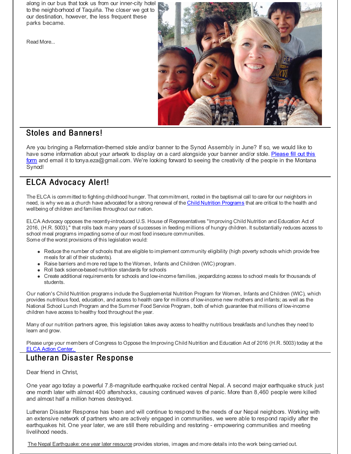along in our bus that took us from our inner-city hotel to the neighborhood of Taquiña. The closer we got to our destination, however, the less frequent these parks became.

Read More...



## Stoles and Banners!

Are you bringing a Reformation-themed stole and/or banner to the Synod Assembly in June? If so, we would like to have some information about your artwork to display on a card alongside your banner and/or stole. Please fill out this form and email it to [tonya.eza@gmail.com.](http://r20.rs6.net/tn.jsp?f=001M9bAX910nWS-Z5ZrESbueZ9Yccy2jWpILtz5t5WvJY39UEDYcl12qNlkuP0KRu1eIhUStkDWdO_GqIH6ajRogxpiFo5F_FCXu1a2BLXO_vQHZK9ABEUUZ_h-F7BThblUAfvRDqC7NxrRX9G-yYT-nTRZNGtj49-yG5zuBdiO8jn5JlRAcuoKB7oU_d1DAMNo1I_tLCa1mCS74ScM7B1RByXyTFOiyuZFySgU6nw3pofJfyBppo6kqq8vAlYX86bM3mSjBHcAWXdsHDgSMgrPFH-1uhUzaO3_&c=&ch=) We're looking forward to seeing the creativity of the people in the Montana Synod!

# ELCA Advocacy Alert!

The ELCA is committed to fighting childhood hunger. That commitment, rooted in the baptismal call to care for our neighbors in need, is why we as a church have advocated for a strong renewal of the Child Nutrition [Programs](http://r20.rs6.net/tn.jsp?f=001M9bAX910nWS-Z5ZrESbueZ9Yccy2jWpILtz5t5WvJY39UEDYcl12qNlkuP0KRu1e1loJXcB6Ho-h4T0EkMoYofv7ufip4zc3dPdIRlONncO9IH3jCT2kI-uxESHJe84shXGUza3Y9mjuQThPDMf72bWywa2gJkzzIfSBl06-cTA5uV1VuhSIZfGectftzrBWeJP_7QCHeAtG2fNAhYejEqip0Eg9-4qhRA6Lf0WbDttQml9ujaF77ZhVJOcO1sl8aqUE2GyQmNgTVbXRQMujymVJCtUjQoEwgkdPUj22bovDgFj2r9DPikG9_D3dXt0rVBO3jsAgQetkz5OBtLKiGw==&c=&ch=) that are critical to the health and wellbeing of children and families throughout our nation.

ELCA Advocacy opposes the recently-introduced U.S. House of Representatives "Improving Child Nutrition and Education Act of 2016, (H.R. 5003)," that rolls back many years of successes in feeding millions of hungry children. It substantially reduces access to school meal programs impacting some of our most food insecure communities. Some of the worst provisions of this legislation would:

- Reduce the number of schools that are eligible to implement community eligibility (high poverty schools which provide free meals for all of their students).
- Raise barriers and more red tape to the Women, Infants and Children (WIC) program.
- Roll back science-based nutrition standards for schools
- Create additional requirements for schools and low-income families, jeopardizing access to school meals for thousands of students.

Our nation's Child Nutrition programs include the Supplemental Nutrition Program for Women, Infants and Children (WIC), which provides nutritious food, education, and access to health care for millions of low-income new mothers and infants; as well as the National School Lunch Program and the Summer Food Service Program, both of which guarantee that millions of low-income children have access to healthy food throughout the year.

Many of our nutrition partners agree, this legislation takes away access to healthy nutritious breakfasts and lunches they need to learn and grow.

Please urge your members of Congress to Oppose the Improving Child Nutrition and Education Act of 2016 (H.R. 5003) today at the **ELCA Action [Center.](http://r20.rs6.net/tn.jsp?f=001M9bAX910nWS-Z5ZrESbueZ9Yccy2jWpILtz5t5WvJY39UEDYcl12qNlkuP0KRu1eB2-XJwJ9fgnNsc7Q6RUgcACEIH1UFv6mEzmvvO_FZkCTMY_XGIKF5GX6EUPNroqaP0Ie20fegnlE3IttBWLSDF06zJOknW_sQJZpEY0RbY8a6yew6e2NVdHBVQtQTULbkAw2OFChO7lROQimM9tRI3JIF7uWJGwBoPXJmjE-rAbjQQTKrqolrlEwjUNrxb8F4Wvgog2bmgRUpr03upBpw77jPpN3CinwJO0mLAvhd43qASOQKPtwtH9G94cgKXdRPXV5OeWBg1b2XGIidFJpf60b2986DjNp&c=&ch=)** 

## Lutheran Disaster Response

Dear friend in Christ,

One year ago today a powerful 7.8-magnitude earthquake rocked central Nepal. A second major earthquake struck just one month later with almost 400 aftershocks, causing continued waves of panic. More than 8,460 people were killed and almost half a million homes destroyed.

Lutheran Disaster Response has been and will continue to respond to the needs of our Nepal neighbors. Working with an extensive network of partners who are actively engaged in communities, we were able to respond rapidly after the earthquakes hit. One year later, we are still there rebuilding and restoring - empowering communities and meeting livelihood needs.

The Nepal [Earthquake:](http://r20.rs6.net/tn.jsp?f=001M9bAX910nWS-Z5ZrESbueZ9Yccy2jWpILtz5t5WvJY39UEDYcl12qBbDP6bO7__IlngeO-HYmN1Mb8gj3DDblluCYacAY7T1HvPUa5i1YLLyknbkApQ9BRi_TrlnT2oOfK6XHhuxQRP9siyHi0-hkenmtNhEX1bSrtfMU7gy_XBUkwegwme-SxhPhIBmQKVrDA_SEl-NtXn09vP8HzdSHWrpxTE_yeuse1RFZ5NJJzb7faR2VAR_slQMIF5qXgZYLbVWyuSNNEyqtJWUo22PuxcdtZbDxJS3eNUuy_8eVjJRvuoL2KqbZmfeJEvtIjD79UBRhrfpB6N8t2PUj0z9dNvAbKi9gOOg2wM5C9s0RSedx_NGUA7UVqub7r2UhfP0dgqjq0g6irLvOSlMUNLQhtR2ZvW_nO5Vs3XJ0JhCqM1DHVLndg0LiWdpVk9vhl7CI0fjDnq_QLQiRoYuG2KWWQ==&c=&ch=) one year later resource provides stories, images and more details into the work being carried out.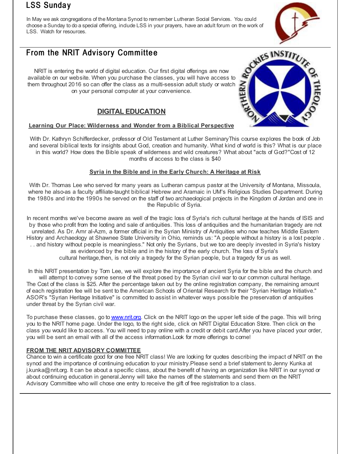## **LSS Sunday**

In May we ask congregations of the Montana Synod to remember Lutheran Social Services. You could choose a Sunday to do a special offering, include LSS in your prayers, have an adult forum on the work of LSS. Watch for resources.

# From the NRIT Advisory Committee

NRIT is entering the world of digital education. Our first digital offerings are now available on our website. When you purchase the classes, you will have access to them throughout 2016 so can offer the class as a multi-session adult study or watch on your personal computer at your convenience.

## **DIGITAL EDUCATION**

### **Learning Our Place: Wilderness and Wonder from a Biblical Perspective**

With Dr. Kathryn Schifferdecker, professor of Old Testament at Luther SeminaryThis course explores the book of Job and several biblical texts for insights about God, creation and humanity. What kind of world is this? What is our place in this world? How does the Bible speak of wilderness and wild creatures? What about "acts of God?"Cost of 12 months of access to the class is \$40

### **Syria in the Bible and in the Early Church: A Heritage at Risk**

With Dr. Thomas Lee who served for many years as Lutheran campus pastor at the University of Montana, Missoula, where he also-as a faculty affiliate-taught biblical Hebrew and Aramaic in UM's Religious Studies Department. During the 1980s and into the 1990s he served on the staff of two archaeological projects in the Kingdom of Jordan and one in the Republic of Syria.

In recent months we've become aware as well of the tragic loss of Syria's rich cultural heritage at the hands of ISIS and by those who profit from the looting and sale of antiquities. This loss of antiquities and the humanitarian tragedy are not unrelated. As Dr. Amr al-Azm, a former official in the Syrian Ministry of Antiquities who now teaches Middle Eastern History and Archaeology at Shawnee State University in Ohio, reminds us: "A people without a history is a lost people . . . and history without people is meaningless." Not only the Syrians, but we too are deeply invested in Syria's history as evidenced by the bible and in the history of the early church. The loss of Syria's cultural heritage,then, is not only a tragedy for the Syrian people, but a tragedy for us as well.

In this NRIT presentation by Tom Lee, we will explore the importance of ancient Syria for the bible and the church and will attempt to convey some sense of the threat posed by the Syrian civil war to our common cultural heritage. The Cost of the class is \$25. After the percentage taken out by the online registration company, the remaining amount of each registration fee will be sent to the American Schools of Oriental Research for their "Syrian Heritage Initiative." ASOR's "Syrian Heritage Initiative" is committed to assist in whatever ways possible the preservation of antiquities under threat by the Syrian civil war.

To purchase these classes, go to [www.nrit.org](http://r20.rs6.net/tn.jsp?f=001M9bAX910nWS-Z5ZrESbueZ9Yccy2jWpILtz5t5WvJY39UEDYcl12qNATlsgy60UdJGdSusQIOjtAh24SmJtdbmyTjGR65dH1HtqXCjiMJSgTtW5uIdt6DmTO6uEJDD60JwwQmqflJlWVxh6hEM58zgugspiTzZ2e&c=&ch=). Click on the NRIT logo on the upper left side of the page. This will bring you to the NRIT home page. Under the logo, to the right side, click on NRIT Digital Education Store. Then click on the class you would like to access. You will need to pay online with a credit or debit card.After you have placed your order, you will be sent an email with all of the access information.Look for more offerings to come!

### **FROM THE NRIT ADVISORY COMMITTEE**

Chance to win a certificate good for one free NRIT class! We are looking for quotes describing the impact of NRIT on the synod and the importance of continuing education to your ministry.Please send a brief statement to Jenny Kunka at j.kunka@nrit.org. It can be about a specific class, about the benefit of having an organization like NRIT in our synod or about continuing education in general.Jenny will take the names off the statements and send them on the NRIT Advisory Committee who will chose one entry to receive the gift of free registration to a class.



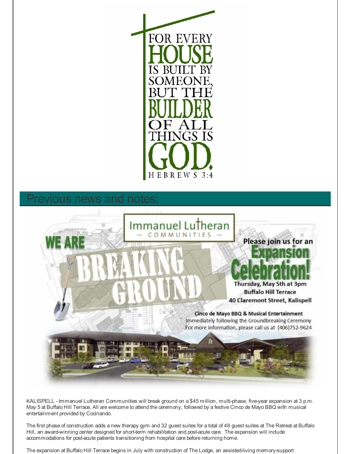

# vious news and notes:



KALISPELL - Immanuel Lutheran Communities will break ground on a \$45 million, multi-phase, five-year expansion at 3 p.m. May 5 at Buffalo Hill Terrace. All are welcome to attend the ceremony, followed by a festive Cinco de Mayo BBQ with musical entertainment provided by Cocinando.

The first phase of construction adds a new therapy gym and 32 guest suites for a total of 48 guest suites at The Retreat at Buffalo Hill, an award-winning center designed for short-term rehabilitation and post-acute care. The expansion will include accommodations for post-acute patients transitioning from hospital care before returning home.

The expansion at Buffalo Hill Terrace begins in July with construction of The Lodge, an assisted-living memory-support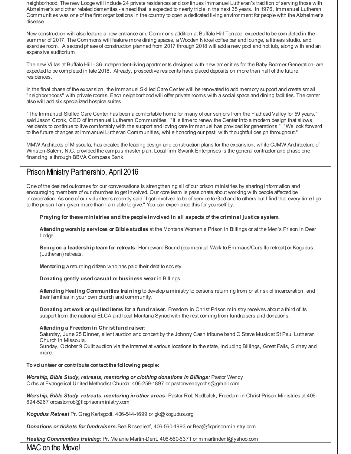neighborhood. The new Lodge will include 24 private residences and continues Immanuel Lutheran's tradition of serving those with Alzheimer's and other related dementias - a need that is expected to nearly triple in the next 35 years. In 1976, Immanuel Lutheran Communities was one of the first organizations in the country to open a dedicated living environment for people with the Alzheimer's disease.

New construction will also feature a new entrance and Commons addition at Buffalo Hill Terrace, expected to be completed in the summer of 2017. The Commons will feature more dining spaces, a Wooden Nickel coffee bar and lounge, a fitness studio, and exercise room. A second phase of construction planned from 2017 through 2018 will add a new pool and hot tub, along with and an expansive auditorium.

The new Villas at Buffalo Hill - 36 independent-living apartments designed with new amenities for the Baby Boomer Generation- are expected to be completed in late 2018. Already, prospective residents have placed deposits on more than half of the future residences.

In the final phase of the expansion, the Immanuel Skilled Care Center will be renovated to add memory support and create small "neighborhoods" with private rooms. Each neighborhood will offer private rooms with a social space and dining facilities. The center also will add six specialized hospice suites.

"The Immanuel Skilled Care Center has been a comfortable home for many of our seniors from the Flathead Valley for 59 years," said Jason Cronk, CEO of Immanuel Lutheran Communities. "It is time to renew the Center into a modern design that allows residents to continue to live comfortably with the support and loving care Immanuel has provided for generations." "We look forward to the future changes at Immanuel Lutheran Communities, while honoring our past, with thoughtful design throughout."

MMW Architects of Missoula, has created the leading design and construction plans for the expansion, while CJMW Architecture of Winston-Salem, N.C. provided the campus master plan. Local firm Swank Enterprises is the general contractor and phase one financing is through BBVA Compass Bank.

## Prison Ministry Partnership, April 2016

One of the desired outcomes for our conversations is strengthening all of our prison ministries by sharing information and encouraging members of our churches to get involved. Our core team is passionate about working with people affected be incarceration. As one of our volunteers recently said "I got involved to be of service to God and to others but I find that every time I go to the prison I am given more than I am able to give." You can experience this for yourself by:

**Praying for these ministries and the people involved in all aspects of the criminal justice system.**

**Attending worship services or Bible studies** at the Montana Women's Prison in Billings or at the Men's Prison in Deer Lodge.

**Being on a leadership team for retreats:** Homeward Bound (ecumenical Walk to Emmaus/Cursillo retreat) or Kogudus (Lutheran) retreats.

**Mentoring** a returning citizen who has paid their debt to society.

**Donating gently used casual or business wear** in Billings.

**Attending Healing Communities training** to develop a ministry to persons returning from or at risk of incarceration, and their families in your own church and community.

**Donating art work or quilted items for a fund raiser.** Freedom in Christ Prison ministry receives about a third of its support from the national ELCA and local Montana Synod with the rest coming from fundraisers and donations.

### **Attending a Freedom in Christ fund raiser:**

Saturday, June 25 Dinner, silent auction and concert by the Johnny Cash tribune band C Steve Music at St Paul Lutheran Church in Missoula.

Sunday, October 9 Quilt auction via the internet at various locations in the state, including Billings, Great Falls, Sidney and more.

**Tovolunteer or contribute contact the following people:**

*Worship, Bible Study, retreats, mentoring or clothing donations in Billings:* Pastor Wendy Ochs at Evangelical United Methodist Church: 406-259-1897 or pastorwendyochs@gmail.com

*Worship, Bible Study, retreats, mentoring in other areas:* Pastor Rob Nedbalek, Freedom in Christ Prison Ministries at 406- 694-5267 orpastorrob@ficprisonministry.com

*Kogudus Retreat* Pr. Greg Karlsgodt, 406-544-1699 or gk@kogudus.org

*Donations or tickets for fundraisers:*Bea Rosenleaf, 406-560-4993 or Bea@ficprisonministry.com

*Healing Communities training:* Pr. Melanie Martin-Dent, 406-560-6371 or mmartindent@yahoo.com

MAC on the Move!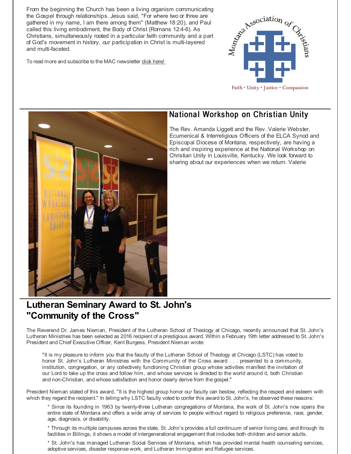From the beginning the Church has been a living organism communicating the Gospel through relationships. Jesus said, "For where two or three are gathered in my name, I am there among them" (Matthew 18:20), and Paul called this living embodiment, the Body of Christ (Romans 12:4-6). As Christians, simultaneously rooted in a particular faith community and a part of God's movement in history, our participation in Christ is multi-layered and multi-faceted.

To read more and subscribe to the MAC newsletter **dick [here!](http://r20.rs6.net/tn.jsp?f=001M9bAX910nWS-Z5ZrESbueZ9Yccy2jWpILtz5t5WvJY39UEDYcl12qBbDP6bO7__IoP4QDzzRvWaEpzF5j85jzMyunu_3vXU62oQ-thLKjqfKP4_rKVLw74Y87ayvbZOavyAe3hSG5GhBoE464K0AfmILb1fPvY04GrCevbV9JhAuRRn5Cy2O7Q==&c=&ch=)** 





## National Workshop on Christian Unity

The Rev. Amanda Liggett and the Rev. Valerie Webster, Ecumenical & Interreligious Officers of the ELCA Synod and Episcopal Diocese of Montana, respectively, are having a rich and inspiring experience at the National Workshop on Christian Unity in Louisville, Kentucky. We look forward to sharing about our experiences when we return. Valerie

# **Lutheran Seminary Award to St. John's "Community of the Cross"**

The Reverend Dr. James Nieman, President of the Lutheran School of Theology at Chicago, recently announced that St. John's Lutheran Ministries has been selected as 2016 recipient of a prestigious award. Within a February 19th letter addressed to St. John's President and Chief Executive Officer, Kent Burgess, President Nieman wrote:

"It is my pleasure to inform you that the faculty of the Lutheran School of Theology at Chicago (LSTC) has voted to honor St. John's Lutheran Ministries with the Community of the Cross award . . . presented to a community, institution, congregation, or any collectively functioning Christian group whose activities manifest the invitation of our Lord to take up the cross and follow him, and whose services is directed to the world around it, both Christian and non-Christian, and whose satisfaction and honor clearly derive from the gospel."

President Nieman stated of this award, "It is the highest group honor our faculty can bestow, reflecting the respect and esteem with which they regard the recipient." In telling why LSTC faculty voted to confer this award to St. John's, he observed these reasons:

\* Since its founding in 1963 by twenty-three Lutheran congregations of Montana, the work of St. John's now spans the entire state of Montana and offers a wide array of services to people without regard to religious preference, race, gender, age, diagnosis, or disability.

\* Through its multiple campuses across the state, St. John's provides a full continuum of senior living care, and through its facilities in Billings, it shows a model of intergenerational engagement that includes both children and senior adults.

\* St. John's has managed Lutheran Social Services of Montana, which has provided mental health counseling services, adoptive services, disaster response work, and Lutheran Immigration and Refugee services.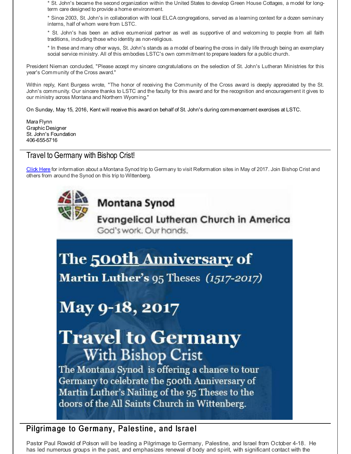\* St. John's became the second organization within the United States to develop Green House Cottages, a model for longterm care designed to provide a home environment.

\* Since 2003, St. John's in collaboration with local ELCA congregations, served as a learning context for a dozen seminary interns, half of whom were from LSTC.

\* St. John's has been an active ecumenical partner as well as supportive of and welcoming to people from all faith traditions, including those who identity as non-religious.

\* In these and many other ways, St. John's stands as a model of bearing the cross in daily life through being an exemplary social service ministry. All of this embodies LSTC's own commitment to prepare leaders for a public church.

President Nieman concluded, "Please accept my sincere congratulations on the selection of St. John's Lutheran Ministries for this year's Community of the Cross award."

Within reply, Kent Burgess wrote, "The honor of receiving the Community of the Cross award is deeply appreciated by the St. John's community. Our sincere thanks to LSTC and the faculty for this award and for the recognition and encouragement it gives to our ministry across Montana and Northern Wyoming."

On Sunday, May 15, 2016, Kent will receive this award on behalf of St. John's during commencement exercises at LSTC.

Mara Flynn Graphic Designer St. John's Foundation 406-655-5716

## Travel to Germany with Bishop Crist!

[Click](http://r20.rs6.net/tn.jsp?f=001M9bAX910nWS-Z5ZrESbueZ9Yccy2jWpILtz5t5WvJY39UEDYcl12qKQD8bKA_VZ88zQ03Sbhlvwee6FxBVLj_ORZBQDwy4VH0pWLMljuGs64EM9bAA2MbfE88el9qIWIzY1JtwOWo-1bMyAyJtRD4K_H99R5jhmeayZfuN49rZRrAlWJUAvx7KRNwrpD6KZ0e7lvxS82pxGNDP6jlmVD-oXhmKLbxoMgMxd47Uaaq0Y_h3t2EWq3nRvtLCLSBC_i8T3gH7113Oi_JF31ejkJXeJnW2z5bUyy&c=&ch=) Here for information about a Montana Synod trip to Germany to visit Reformation sites in May of 2017. Join Bishop Crist and others from around the Synod on this trip to Wittenberg.



# Montana Synod

**Evangelical Lutheran Church in America** God's work, Our hands.

# The 500th Anniversary of

Martin Luther's 95 Theses (1517-2017)

# May 9-18, 2017

# **Travel to Germany With Bishop Crist**

The Montana Synod is offering a chance to tour Germany to celebrate the 500th Anniversary of Martin Luther's Nailing of the 95 Theses to the doors of the All Saints Church in Wittenberg.

# Pilgrimage to Germany, Palestine, and Israel

Pastor Paul Rowold of Polson will be leading a Pilgrimage to Germany, Palestine, and Israel from October 4-18. He has led numerous groups in the past, and emphasizes renewal of body and spirit, with significant contact with the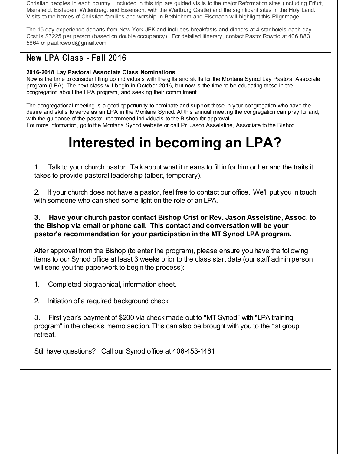Christian peoples in each country. Included in this trip are guided visits to the major Reformation sites (including Erfurt, Mansfield, Eisleben, Wittenberg, and Eisenach, with the Wartburg Castle) and the significant sites in the Holy Land. Visits to the homes of Christian families and worship in Bethlehem and Eisenach will highlight this Pilgrimage.

The 15 day experience departs from New York JFK and includes breakfasts and dinners at 4 star hotels each day. Cost is \$3225 per person (based on double occupancy). For detailed itinerary, contact Pastor Rowold at 406 883 5864 or paul.rowold@gmail.com

# New LPA Class - Fall 2016

### **2016-2018 Lay Pastoral Associate Class Nominations**

Now is the time to consider lifting up individuals with the gifts and skills for the Montana Synod Lay Pastoral Associate program (LPA). The next class will begin in October 2016, but now is the time to be educating those in the congregation about the LPA program, and seeking their commitment.

The congregational meeting is a good opportunity to nominate and support those in your congregation who have the desire and skills to serve as an LPA in the Montana Synod. At this annual meeting the congregation can pray for and, with the guidance of the pastor, recommend individuals to the Bishop for approval. For more information, go to the [Montana](http://r20.rs6.net/tn.jsp?f=001M9bAX910nWS-Z5ZrESbueZ9Yccy2jWpILtz5t5WvJY39UEDYcl12qA-OM0ueIVbWMh4MPg19XcdkTexwopQ_tyWsV_Rll5_hZ1v2dElOBV-KYApRECfG9bSmK4U5LY6B0o2-X95GugeIUjNeA-EWpaOOXSi9ecJLwtTylJengBxh6DNPRb5Mug==&c=&ch=) Synod website or call Pr. Jason Asselstine, Associate to the Bishop.

# **Interested in becoming an LPA?**

1. Talk to your church pastor. Talk about what it means to fill in for him or her and the traits it takes to provide pastoral leadership (albeit, temporary).

2. If your church does not have a pastor, feel free to contact our office. We'll put you in touch with someone who can shed some light on the role of an LPA.

### **3. Have your church pastor contact Bishop Crist or Rev. Jason Asselstine, Assoc. to the Bishop via email or phone call. This contact and conversation will be your pastor's recommendation for your participation in the MT Synod LPA program.**

After approval from the Bishop (to enter the program), please ensure you have the following items to our Synod office at least 3 weeks prior to the class start date (our staff admin person will send you the paperwork to begin the process):

- 1. Completed biographical, information sheet.
- 2. Initiation of a required [background](http://r20.rs6.net/tn.jsp?f=001M9bAX910nWS-Z5ZrESbueZ9Yccy2jWpILtz5t5WvJY39UEDYcl12qKZVk-TVPhvkYRCXHdFhb5zfiVIIeENKZzW8Id9IP6OugXVJ1DKUKLR3uackxVGVBtWEoWm7gv65VuzT3pdexX8JiyvmxZNEJyvBqeVldKYSBf80hpmotGeF5OxJ-pZfA59a5vfSPRIZSClds-82PePsR-mSvuXClg==&c=&ch=) check

3. First year's payment of \$200 via check made out to "MT Synod" with "LPA training program" in the check's memo section. This can also be brought with you to the 1st group retreat.

Still have questions? Call our Synod office at 406-453-1461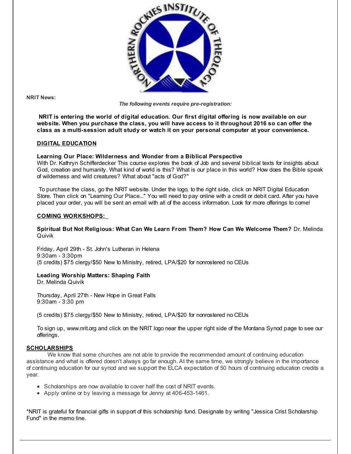

**NRIT News:**

*The following events require pre-registration:*

**NRIT is entering the world of digital education. Our first digital offering is now available on our website. When you purchase the class, you will have access to it throughout 2016 so can offer the class as a multi-session adult study or watch it on your personal computer at your convenience.**

### **DIGITAL EDUCATION**

### **Learning Our Place: Wilderness and Wonder from a Biblical Perspective**

With Dr. Kathryn Schifferdecker This course explores the book of Job and several biblical texts for insights about God, creation and humanity. What kind of world is this? What is our place in this world? How does the Bible speak of wilderness and wild creatures? What about "acts of God?"

To purchase the class, go the NRIT website. Under the logo, to the right side, click on NRIT Digital Education Store. Then click on "Learning Our Place..." You will need to pay online with a credit or debit card. After you have placed your order, you will be sent an email with all of the access information. Look for more offerings to come!

### **COMING WORKSHOPS:**

### **Spiritual But Not Religious: What Can We Learn From Them? How Can We Welcome Them?** Dr. Melinda Quivik

Friday, April 29th - St. John's Lutheran in Helena 9:30am - 3:30pm (5 credits) \$75 clergy/\$50 New to Ministry, retired, LPA/\$20 for nonrostered no CEUs

### **Leading Worship Matters: Shaping Faith**

Dr. Melinda Quivik

Thursday, April 27th - New Hope in Great Falls 9:30am - 3:30 pm

(5 credits) \$75 clergy/\$50 New to Ministry, retired, LPA/\$20 for nonrostered no CEUs

To sign up, www.nrit.org and click on the NRIT logo near the upper right side of the Montana Synod page to see our offerings.

### **SCHOLARSHIPS**

We know that some churches are not able to provide the recommended amount of continuing education assistance and what is offered doesn't always go far enough. At the same time, we strongly believe in the importance of continuing education for our synod and we support the ELCA expectation of 50 hours of continuing education credits a year.

- Scholarships are now available to cover half the cost of NRIT events.
- Apply online or by leaving a message for Jenny at 406-453-1461.

\*NRIT is grateful for financial gifts in support of this scholarship fund. Designate by writing "Jessica Crist Scholarship Fund" in the memo line.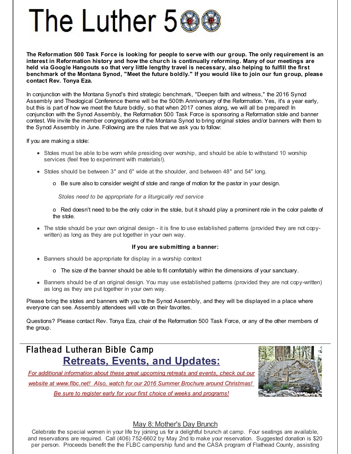

The Reformation 500 Task Force is looking for people to serve with our group. The only reguirement is an **interest in Reformation history and how the church is continually reforming. Many of our meetings are** held via Google Hangouts so that very little lengthy travel is necessary, also helping to fulfill the first benchmark of the Montana Synod, "Meet the future boldly." If you would like to join our fun group, please **contact Rev. Tonya Eza.**

In conjunction with the Montana Synod's third strategic benchmark, "Deepen faith and witness," the 2016 Synod Assembly and Theological Conference theme will be the 500th Anniversary of the Reformation. Yes, it's a year early, but this is part of how we meet the future boldly, so that when 2017 comes along, we will all be prepared! In conjunction with the Synod Assembly, the Reformation 500 Task Force is sponsoring a Reformation stole and banner contest. We invite the member congregations of the Montana Synod to bring original stoles and/or banners with them to the Synod Assembly in June. Following are the rules that we ask you to follow:

If you are making a stole:

- Stoles must be able to be worn while presiding over worship, and should be able to withstand 10 worship services (feel free to experiment with materials!).
- Stoles should be between 3" and 6" wide at the shoulder, and between 48" and 54" long.
	- o Be sure also to consider weight of stole and range of motion for the pastor in your design.

*Stoles need to be appropriate for a liturgically red service*

o Red doesn't need to be the only color in the stole, but it should play a prominent role in the color palette of the stole.

The stole should be your own original design - it is fine to use established patterns (provided they are not copywritten) as long as they are put together in your own way.

#### **If you are submitting a banner:**

- Banners should be appropriate for display in a worship context
	- o The size of the banner should be able to fit comfortably within the dimensions of your sanctuary.
- Banners should be of an original design. You may use established patterns (provided they are not copy-written) as long as they are put together in your own way.

Please bring the stoles and banners with you to the Synod Assembly, and they will be displayed in a place where everyone can see. Assembly attendees will vote on their favorites.

Questions? Please contact Rev. Tonya Eza, chair of the Reformation 500 Task Force, or any of the other members of the group.

# Flathead Lutheran Bible Camp **Retreats, Events, and Updates:**

*For additional information about these great upcoming retreats and events, check out our website at [www.flbc.net!](http://r20.rs6.net/tn.jsp?f=001M9bAX910nWS-Z5ZrESbueZ9Yccy2jWpILtz5t5WvJY39UEDYcl12qC7Y_6tQTOaF_i2bt8gruE7Jl1ev3zB9smCKDp5OpHuAmRjE9EA61OPf6g_eGc1WY7i8oC9DmWLezD4Qdl0LgyDrMMf7xNxhR6RIk-161Jr6JsCxsOacrts1mwoTfcDn-srHH21a5jBHsoQ93fQ850AfD-A2AO2zJ1NFYE9Lh0zn6TQNdZhI49qX_FIsOFun1SxrgRUZpPsM&c=&ch=) Also, watch for our 2016 Summer Brochure around Christmas!*

*Be sure to register early for your first choice of weeks and programs!*



### May 8: Mother's Day Brunch

Celebrate the special women in your life by joining us for a delightful brunch at camp. Four seatings are available, and reservations are required. Call (406) 752-6602 by May 2nd to make your reservation. Suggested donation is \$20 per person. Proceeds benefit the the FLBC campership fund and the CASA program of Flathead County, assisting